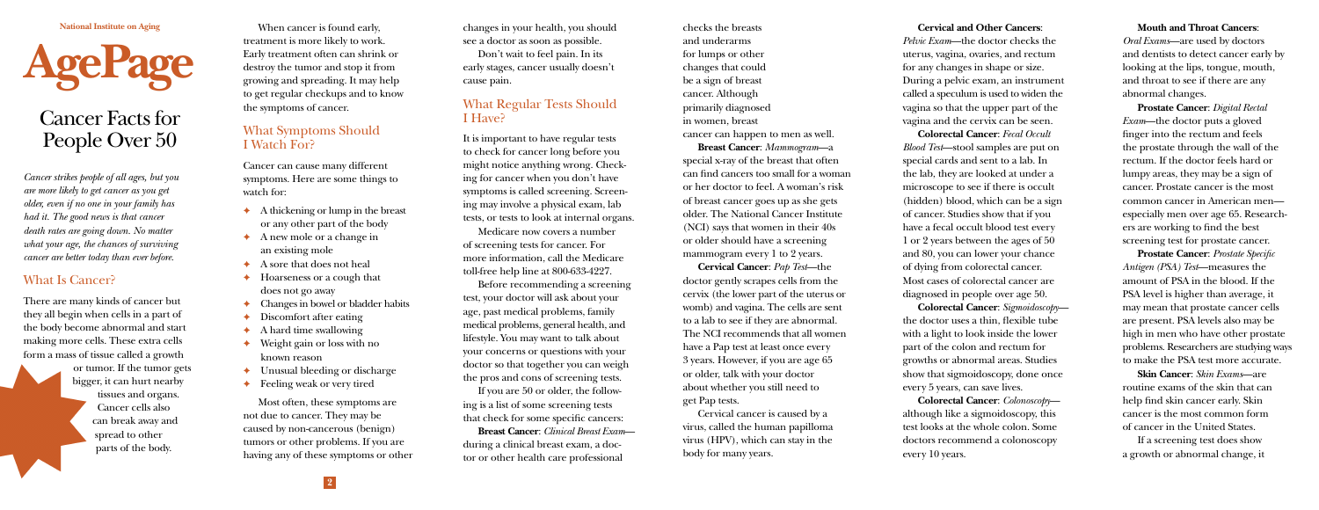**National Institute on Aging**



# Cancer Facts for People Over 50

*Cancer strikes people of all ages, but you are more likely to get cancer as you get older, even if no one in your family has had it. The good news is that cancer death rates are going down. No matter what your age, the chances of surviving cancer are better today than ever before.*

#### What Is Cancer?

There are many kinds of cancer but they all begin when cells in a part of the body become abnormal and start making more cells. These extra cells form a mass of tissue called a growth

> or tumor. If the tumor gets bigger, it can hurt nearby tissues and organs. Cancer cells also can break away and spread to other parts of the body.

When cancer is found early, treatment is more likely to work. Early treatment often can shrink or destroy the tumor and stop it from growing and spreading. It may help to get regular checkups and to know the symptoms of cancer.

### What Symptoms Should I Watch For?

Cancer can cause many different symptoms. Here are some things to watch for:

- ✦ A thickening or lump in the breast or any other part of the body
- ✦ A new mole or a change in an existing mole
- A sore that does not heal
- Hoarseness or a cough that does not go away
- Changes in bowel or bladder habits
- Discomfort after eating
- ✦ A hard time swallowing
- Weight gain or loss with no known reason
- ✦ Unusual bleeding or discharge
- Feeling weak or very tired

Most often, these symptoms are not due to cancer. They may be caused by non-cancerous (benign) tumors or other problems. If you are having any of these symptoms or other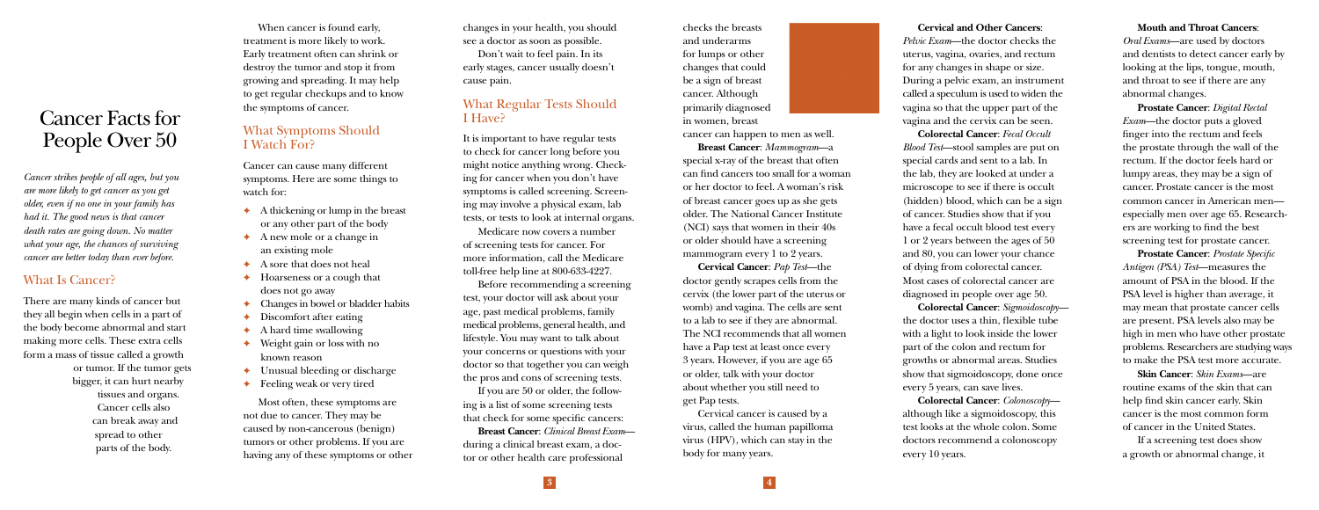changes in your health, you should see a doctor as soon as possible.

Don't wait to feel pain. In its early stages, cancer usually doesn't cause pain.

#### What Regular Tests Should I Have?

It is important to have regular tests to check for cancer long before you might notice anything wrong. Checking for cancer when you don't have symptoms is called screening. Screening may involve a physical exam, lab tests, or tests to look at internal organs.

Medicare now covers a number of screening tests for cancer. For more information, call the Medicare toll-free help line at 800-633-4227.

Before recommending a screening test, your doctor will ask about your age, past medical problems, family medical problems, general health, and lifestyle. You may want to talk about your concerns or questions with your doctor so that together you can weigh the pros and cons of screening tests.

If you are 50 or older, the following is a list of some screening tests that check for some specific cancers:

**Breast Cancer**: *Clinical Breast Exam* during a clinical breast exam, a doctor or other health care professional

checks the breasts and underarms for lumps or other changes that could be a sign of breast cancer. Although primarily diagnosed in women, breast

cancer can happen to men as well.

**Breast Cancer**: *Mammogram*—a special x-ray of the breast that often can find cancers too small for a woman or her doctor to feel. A woman's risk of breast cancer goes up as she gets older. The National Cancer Institute (NCI) says that women in their 40s or older should have a screening mammogram every 1 to 2 years.

**Cervical Cancer**: *Pap Test*—the doctor gently scrapes cells from the cervix (the lower part of the uterus or womb) and vagina. The cells are sent to a lab to see if they are abnormal. The NCI recommends that all women have a Pap test at least once every 3 years. However, if you are age 65 or older, talk with your doctor about whether you still need to get Pap tests.

Cervical cancer is caused by a virus, called the human papilloma virus (HPV), which can stay in the body for many years.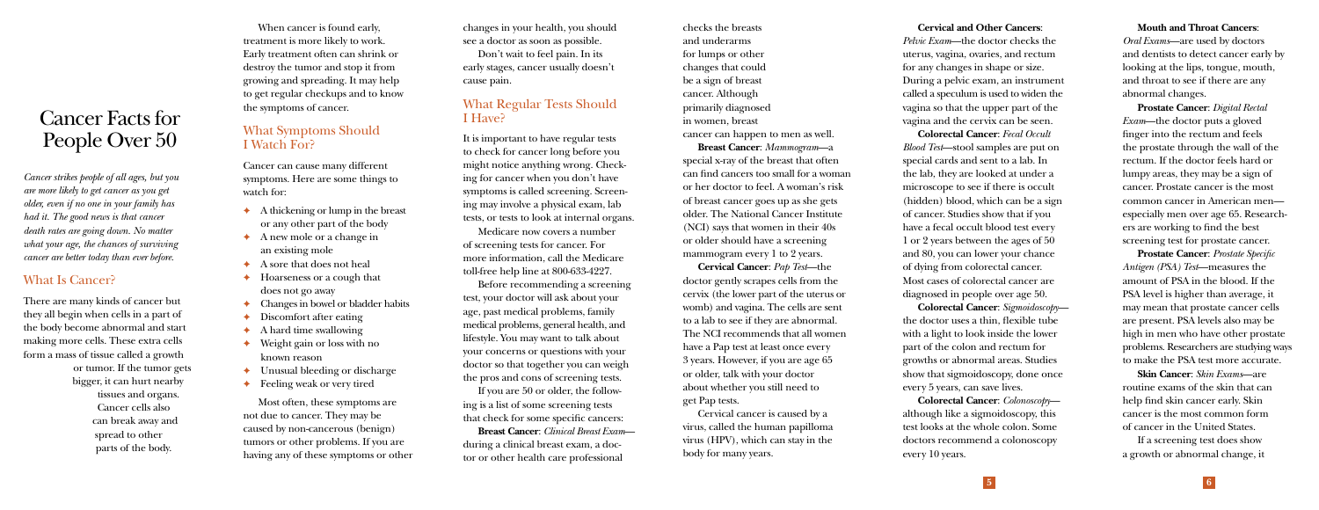**Cervical and Other Cancers**: *Pelvic Exam*—the doctor checks the uterus, vagina, ovaries, and rectum for any changes in shape or size. During a pelvic exam, an instrument called a speculum is used to widen the vagina so that the upper part of the vagina and the cervix can be seen.

**Colorectal Cancer**: *Fecal Occult Blood Test*—stool samples are put on special cards and sent to a lab. In the lab, they are looked at under a microscope to see if there is occult (hidden) blood, which can be a sign of cancer. Studies show that if you have a fecal occult blood test every 1 or 2 years between the ages of 50 and 80, you can lower your chance of dying from colorectal cancer. Most cases of colorectal cancer are diagnosed in people over age 50.

**Colorectal Cancer**: *Sigmoidoscopy* the doctor uses a thin, flexible tube with a light to look inside the lower part of the colon and rectum for growths or abnormal areas. Studies show that sigmoidoscopy, done once every 5 years, can save lives.

**Colorectal Cancer**: *Colonoscopy* although like a sigmoidoscopy, this test looks at the whole colon. Some doctors recommend a colonoscopy every 10 years.

**Mouth and Throat Cancers**: *Oral Exams*—are used by doctors and dentists to detect cancer early by looking at the lips, tongue, mouth, and throat to see if there are any abnormal changes.

**Prostate Cancer**: *Digital Rectal Exam*—the doctor puts a gloved finger into the rectum and feels the prostate through the wall of the rectum. If the doctor feels hard or lumpy areas, they may be a sign of cancer. Prostate cancer is the most common cancer in American men especially men over age 65. Researchers are working to find the best screening test for prostate cancer.

**Prostate Cancer**: *Prostate Specific Antigen (PSA) Test*—measures the amount of PSA in the blood. If the PSA level is higher than average, it may mean that prostate cancer cells are present. PSA levels also may be high in men who have other prostate problems. Researchers are studying ways to make the PSA test more accurate.

**Skin Cancer**: *Skin Exams*—are routine exams of the skin that can help find skin cancer early. Skin cancer is the most common form of cancer in the United States.

If a screening test does show a growth or abnormal change, it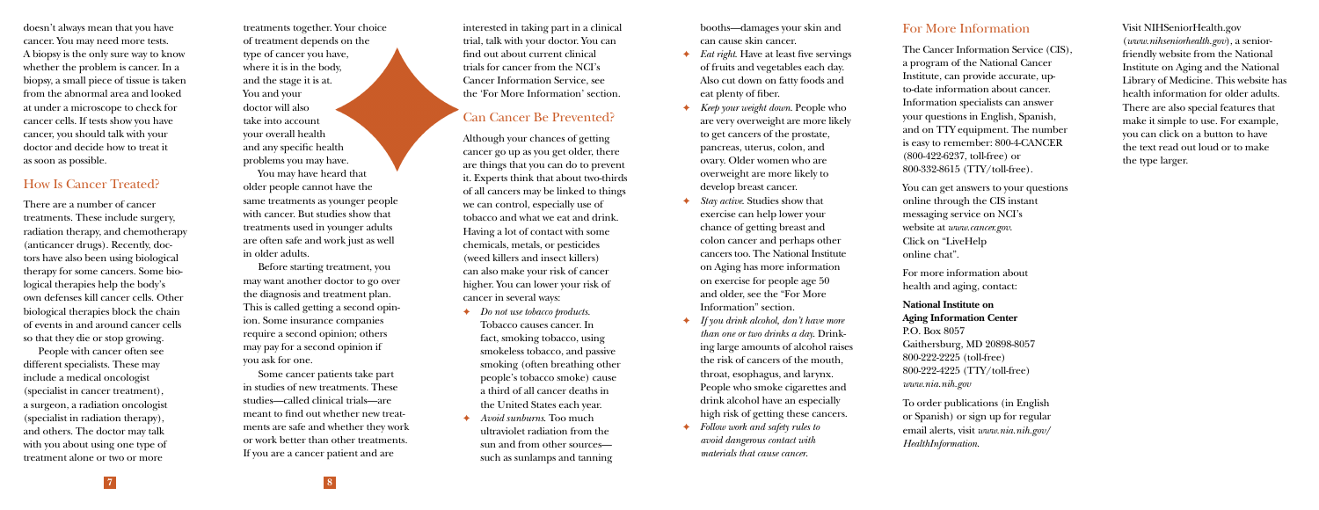doesn't always mean that you have cancer. You may need more tests. A biopsy is the only sure way to know whether the problem is cancer. In a biopsy, a small piece of tissue is taken from the abnormal area and looked at under a microscope to check for cancer cells. If tests show you have cancer, you should talk with your doctor and decide how to treat it as soon as possible.

#### How Is Cancer Treated?

There are a number of cancer treatments. These include surgery, radiation therapy, and chemotherapy (anticancer drugs). Recently, doctors have also been using biological therapy for some cancers. Some biological therapies help the body's own defenses kill cancer cells. Other biological therapies block the chain of events in and around cancer cells so that they die or stop growing.

People with cancer often see different specialists. These may include a medical oncologist (specialist in cancer treatment), a surgeon, a radiation oncologist (specialist in radiation therapy), and others. The doctor may talk with you about using one type of treatment alone or two or more

treatments together. Your choice of treatment depends on the type of cancer you have, where it is in the body, and the stage it is at. You and your doctor will also take into account your overall health and any specific health problems you may have.

You may have heard that older people cannot have the same treatments as younger people with cancer. But studies show that treatments used in younger adults are often safe and work just as well in older adults.

Before starting treatment, you may want another doctor to go over the diagnosis and treatment plan. This is called getting a second opinion. Some insurance companies require a second opinion; others may pay for a second opinion if you ask for one.

Some cancer patients take part in studies of new treatments. These studies—called clinical trials—are meant to find out whether new treatments are safe and whether they work or work better than other treatments. If you are a cancer patient and are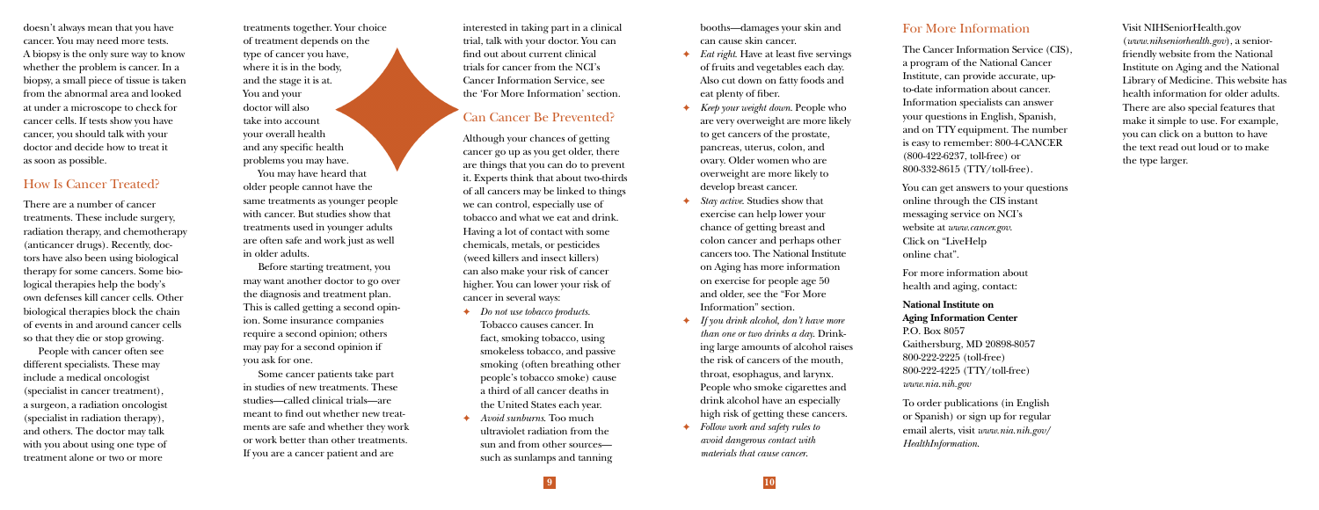interested in taking part in a clinical trial, talk with your doctor. You can find out about current clinical trials for cancer from the NCI's Cancer Information Service, see the 'For More Information' section.

## Can Cancer Be Prevented?

Although your chances of getting cancer go up as you get older, there are things that you can do to prevent it. Experts think that about two-thirds of all cancers may be linked to things we can control, especially use of tobacco and what we eat and drink. Having a lot of contact with some chemicals, metals, or pesticides (weed killers and insect killers) can also make your risk of cancer higher. You can lower your risk of cancer in several ways:

- ✦ *Do not use tobacco products.*  Tobacco causes cancer. In fact, smoking tobacco, using smokeless tobacco, and passive smoking (often breathing other people's tobacco smoke) cause a third of all cancer deaths in the United States each year.
- ✦ *Avoid sunburns*. Too much ultraviolet radiation from the sun and from other sources such as sunlamps and tanning

booths—damages your skin and can cause skin cancer.

- ✦ *Eat right*. Have at least five servings of fruits and vegetables each day. Also cut down on fatty foods and eat plenty of fiber.
- ✦ *Keep your weight down*. People who are very overweight are more likely to get cancers of the prostate, pancreas, uterus, colon, and ovary. Older women who are overweight are more likely to develop breast cancer.
- Stay *active*. Studies show that exercise can help lower your chance of getting breast and colon cancer and perhaps other cancers too. The National Institute on Aging has more information on exercise for people age 50 and older, see the "For More Information" section.
- ✦ *If you drink alcohol, don't have more than one or two drinks a day*. Drinking large amounts of alcohol raises the risk of cancers of the mouth, throat, esophagus, and larynx. People who smoke cigarettes and drink alcohol have an especially high risk of getting these cancers.
- ✦ *Follow work and safety rules to avoid dangerous contact with materials that cause cancer*.

**9 10**